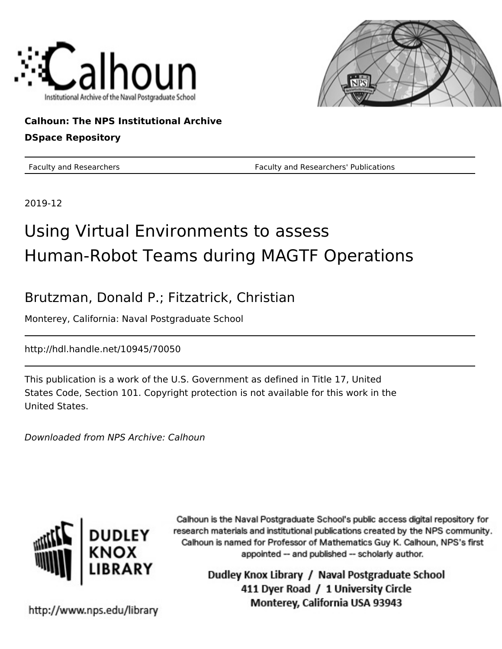



### **Calhoun: The NPS Institutional Archive**

#### **DSpace Repository**

Faculty and Researchers Faculty and Researchers' Publications

2019-12

### Using Virtual Environments to assess Human-Robot Teams during MAGTF Operations

### Brutzman, Donald P.; Fitzatrick, Christian

Monterey, California: Naval Postgraduate School

http://hdl.handle.net/10945/70050

This publication is a work of the U.S. Government as defined in Title 17, United States Code, Section 101. Copyright protection is not available for this work in the United States.

Downloaded from NPS Archive: Calhoun



Calhoun is the Naval Postgraduate School's public access digital repository for research materials and institutional publications created by the NPS community. Calhoun is named for Professor of Mathematics Guy K. Calhoun, NPS's first appointed -- and published -- scholarly author.

> Dudley Knox Library / Naval Postgraduate School 411 Dyer Road / 1 University Circle Monterey, California USA 93943

http://www.nps.edu/library